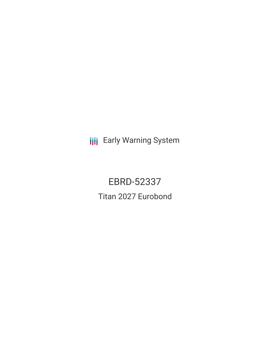**III** Early Warning System

EBRD-52337 Titan 2027 Eurobond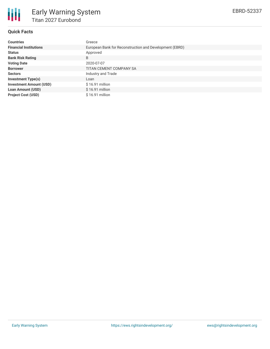

## **Quick Facts**

| <b>Countries</b>               | Greece                                                  |  |  |  |  |
|--------------------------------|---------------------------------------------------------|--|--|--|--|
| <b>Financial Institutions</b>  | European Bank for Reconstruction and Development (EBRD) |  |  |  |  |
| <b>Status</b>                  | Approved                                                |  |  |  |  |
| <b>Bank Risk Rating</b>        | B                                                       |  |  |  |  |
| <b>Voting Date</b>             | 2020-07-07                                              |  |  |  |  |
| <b>Borrower</b>                | TITAN CEMENT COMPANY SA                                 |  |  |  |  |
| <b>Sectors</b>                 | Industry and Trade                                      |  |  |  |  |
| <b>Investment Type(s)</b>      | Loan                                                    |  |  |  |  |
| <b>Investment Amount (USD)</b> | $$16.91$ million                                        |  |  |  |  |
| <b>Loan Amount (USD)</b>       | $$16.91$ million                                        |  |  |  |  |
| <b>Project Cost (USD)</b>      | $$16.91$ million                                        |  |  |  |  |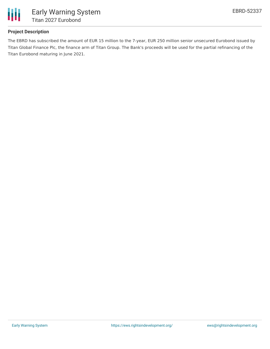

## **Project Description**

The EBRD has subscribed the amount of EUR 15 million to the 7-year, EUR 250 million senior unsecured Eurobond issued by Titan Global Finance Plc, the finance arm of Titan Group. The Bank's proceeds will be used for the partial refinancing of the Titan Eurobond maturing in June 2021.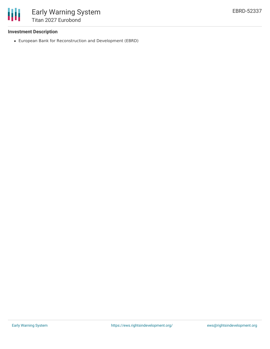

### **Investment Description**

European Bank for Reconstruction and Development (EBRD)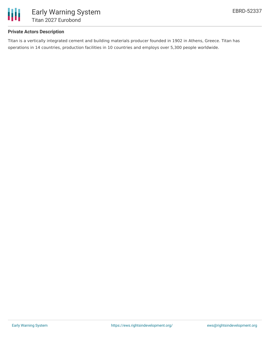

## **Private Actors Description**

Titan is a vertically integrated cement and building materials producer founded in 1902 in Athens, Greece. Titan has operations in 14 countries, production facilities in 10 countries and employs over 5,300 people worldwide.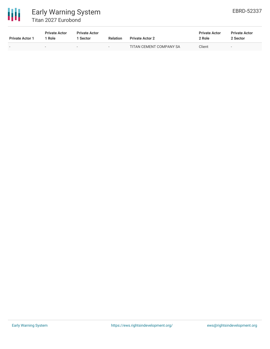

# Early Warning System Titan 2027 Eurobond

| <b>Private Actor 1</b> | <b>Private Actor</b><br>Role | <b>Private Actor</b><br><b>Sector</b> | <b>Relation</b> | <b>Private Actor 2</b>  | <b>Private Actor</b><br>2 Role | <b>Private Actor</b><br>2 Sector |
|------------------------|------------------------------|---------------------------------------|-----------------|-------------------------|--------------------------------|----------------------------------|
|                        |                              |                                       | $\sim$          | TITAN CEMENT COMPANY SA | Client                         | $\sim$                           |